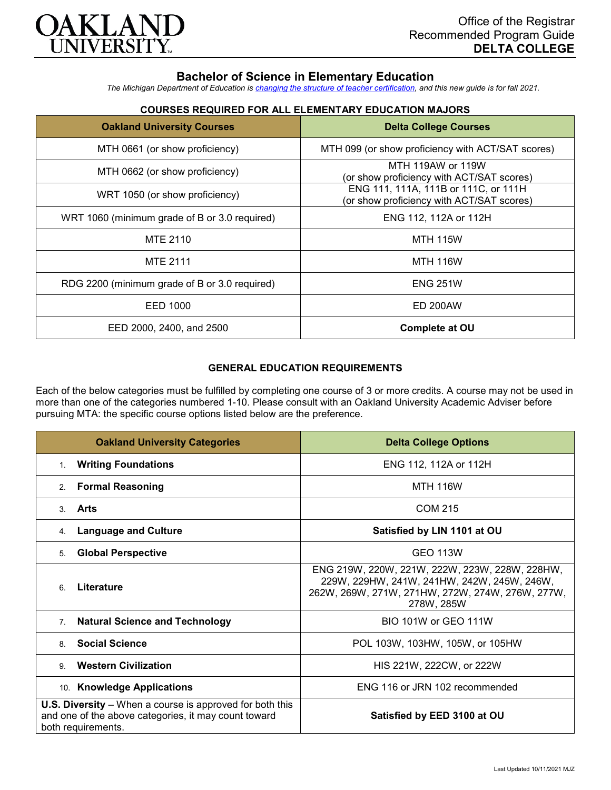

# **Bachelor of Science in Elementary Education**

*The Michigan Department of Education is [changing the structure of teacher certification,](https://docs.google.com/document/d/1W1uUK14Njx6WAB56T4jHbat65OZyg6TS04LdNWMXEcI/edit) and this new guide is for fall 2021.*

## **COURSES REQUIRED FOR ALL ELEMENTARY EDUCATION MAJORS**

| <b>Oakland University Courses</b>             | <b>Delta College Courses</b>                                                      |
|-----------------------------------------------|-----------------------------------------------------------------------------------|
| MTH 0661 (or show proficiency)                | MTH 099 (or show proficiency with ACT/SAT scores)                                 |
| MTH 0662 (or show proficiency)                | MTH 119AW or 119W<br>(or show proficiency with ACT/SAT scores)                    |
| WRT 1050 (or show proficiency)                | ENG 111, 111A, 111B or 111C, or 111H<br>(or show proficiency with ACT/SAT scores) |
| WRT 1060 (minimum grade of B or 3.0 required) | ENG 112, 112A or 112H                                                             |
| MTE 2110                                      | <b>MTH 115W</b>                                                                   |
| <b>MTE 2111</b>                               | <b>MTH 116W</b>                                                                   |
| RDG 2200 (minimum grade of B or 3.0 required) | <b>ENG 251W</b>                                                                   |
| EED 1000                                      | <b>ED 200AW</b>                                                                   |
| EED 2000, 2400, and 2500                      | Complete at OU                                                                    |

### **GENERAL EDUCATION REQUIREMENTS**

Each of the below categories must be fulfilled by completing one course of 3 or more credits. A course may not be used in more than one of the categories numbered 1-10. Please consult with an Oakland University Academic Adviser before pursuing MTA: the specific course options listed below are the preference.

| <b>Oakland University Categories</b>                                                                                                          | <b>Delta College Options</b>                                                                                                                                    |
|-----------------------------------------------------------------------------------------------------------------------------------------------|-----------------------------------------------------------------------------------------------------------------------------------------------------------------|
| <b>Writing Foundations</b><br>1.                                                                                                              | ENG 112, 112A or 112H                                                                                                                                           |
| <b>Formal Reasoning</b><br>2.                                                                                                                 | <b>MTH 116W</b>                                                                                                                                                 |
| Arts<br>3.                                                                                                                                    | <b>COM 215</b>                                                                                                                                                  |
| <b>Language and Culture</b><br>4.                                                                                                             | Satisfied by LIN 1101 at OU                                                                                                                                     |
| <b>Global Perspective</b><br>5.                                                                                                               | <b>GEO 113W</b>                                                                                                                                                 |
| Literature<br>6                                                                                                                               | ENG 219W, 220W, 221W, 222W, 223W, 228W, 228HW,<br>229W, 229HW, 241W, 241HW, 242W, 245W, 246W,<br>262W, 269W, 271W, 271HW, 272W, 274W, 276W, 277W,<br>278W, 285W |
| <b>Natural Science and Technology</b><br>7.                                                                                                   | BIO 101W or GEO 111W                                                                                                                                            |
| <b>Social Science</b><br>8.                                                                                                                   | POL 103W, 103HW, 105W, or 105HW                                                                                                                                 |
| <b>Western Civilization</b><br>9                                                                                                              | HIS 221W, 222CW, or 222W                                                                                                                                        |
| 10. Knowledge Applications                                                                                                                    | ENG 116 or JRN 102 recommended                                                                                                                                  |
| <b>U.S. Diversity</b> – When a course is approved for both this<br>and one of the above categories, it may count toward<br>both requirements. | Satisfied by EED 3100 at OU                                                                                                                                     |